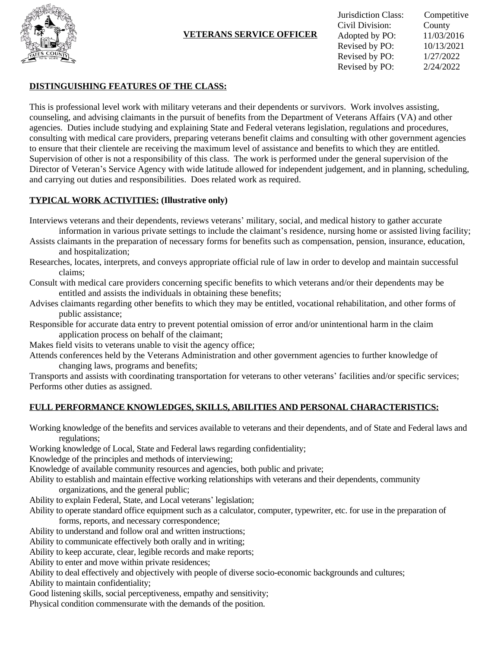

## **VETERANS SERVICE OFFICER**

| Jurisdiction Class: | Competitive |
|---------------------|-------------|
| Civil Division:     | County      |
| Adopted by PO:      | 11/03/2016  |
| Revised by PO:      | 10/13/2021  |
| Revised by PO:      | 1/27/2022   |
| Revised by PO:      | 2/24/2022   |

### **DISTINGUISHING FEATURES OF THE CLASS:**

This is professional level work with military veterans and their dependents or survivors. Work involves assisting, counseling, and advising claimants in the pursuit of benefits from the Department of Veterans Affairs (VA) and other agencies. Duties include studying and explaining State and Federal veterans legislation, regulations and procedures, consulting with medical care providers, preparing veterans benefit claims and consulting with other government agencies to ensure that their clientele are receiving the maximum level of assistance and benefits to which they are entitled. Supervision of other is not a responsibility of this class. The work is performed under the general supervision of the Director of Veteran's Service Agency with wide latitude allowed for independent judgement, and in planning, scheduling, and carrying out duties and responsibilities. Does related work as required.

## **TYPICAL WORK ACTIVITIES: (Illustrative only)**

Interviews veterans and their dependents, reviews veterans' military, social, and medical history to gather accurate information in various private settings to include the claimant's residence, nursing home or assisted living facility;

- Assists claimants in the preparation of necessary forms for benefits such as compensation, pension, insurance, education, and hospitalization;
- Researches, locates, interprets, and conveys appropriate official rule of law in order to develop and maintain successful claims;
- Consult with medical care providers concerning specific benefits to which veterans and/or their dependents may be entitled and assists the individuals in obtaining these benefits;
- Advises claimants regarding other benefits to which they may be entitled, vocational rehabilitation, and other forms of public assistance;
- Responsible for accurate data entry to prevent potential omission of error and/or unintentional harm in the claim application process on behalf of the claimant;
- Makes field visits to veterans unable to visit the agency office;
- Attends conferences held by the Veterans Administration and other government agencies to further knowledge of changing laws, programs and benefits;

Transports and assists with coordinating transportation for veterans to other veterans' facilities and/or specific services; Performs other duties as assigned.

## **FULL PERFORMANCE KNOWLEDGES, SKILLS, ABILITIES AND PERSONAL CHARACTERISTICS:**

Working knowledge of the benefits and services available to veterans and their dependents, and of State and Federal laws and regulations;

Working knowledge of Local, State and Federal laws regarding confidentiality;

Knowledge of the principles and methods of interviewing;

Knowledge of available community resources and agencies, both public and private;

Ability to establish and maintain effective working relationships with veterans and their dependents, community organizations, and the general public;

Ability to explain Federal, State, and Local veterans' legislation;

Ability to operate standard office equipment such as a calculator, computer, typewriter, etc. for use in the preparation of forms, reports, and necessary correspondence;

Ability to understand and follow oral and written instructions;

Ability to communicate effectively both orally and in writing;

Ability to keep accurate, clear, legible records and make reports;

Ability to enter and move within private residences;

Ability to deal effectively and objectively with people of diverse socio-economic backgrounds and cultures; Ability to maintain confidentiality;

Good listening skills, social perceptiveness, empathy and sensitivity;

Physical condition commensurate with the demands of the position.